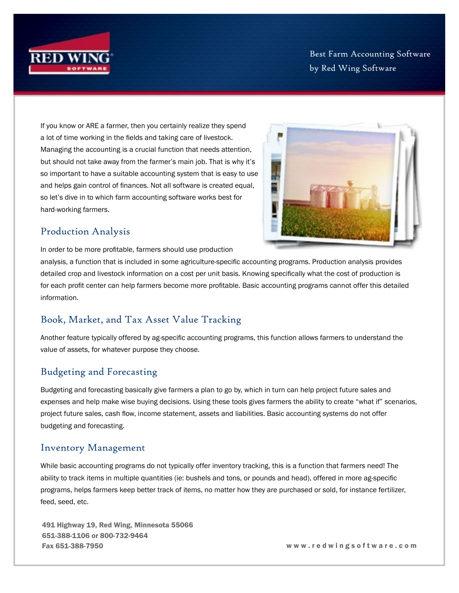

Best Farm Accounting Software by Red Wing Software

If you know or ARE a farmer, then you certainly realize they spend a lot of time working in the fields and taking care of livestock. Managing the accounting is a crucial function that needs attention, but should not take away from the farmer's main job. That is why it's so important to have a suitable accounting system that is easy to use and helps gain control of finances. Not all software is created equal, so let's dive in to which farm accounting software works best for hard-working farmers.



### Production Analysis

In order to be more profitable, farmers should use production

analysis, a function that is included in some agriculture-specific accounting programs. Production analysis provides detailed crop and livestock information on a cost per unit basis. Knowing specifically what the cost of production is for each profit center can help farmers become more profitable. Basic accounting programs cannot offer this detailed information.

## Book, Market, and Tax Asset Value Tracking

Another feature typically offered by ag-specific accounting programs, this function allows farmers to understand the value of assets, for whatever purpose they choose.

## Budgeting and Forecasting

Budgeting and forecasting basically give farmers a plan to go by, which in turn can help project future sales and expenses and help make wise buying decisions. Using these tools gives farmers the ability to create "what if" scenarios, project future sales, cash flow, income statement, assets and liabilities. Basic accounting systems do not offer budgeting and forecasting.

#### Inventory Management

While basic accounting programs do not typically offer inventory tracking, this is a function that farmers need! The ability to track items in multiple quantities (ie: bushels and tons, or pounds and head), offered in more ag-specific programs, helps farmers keep better track of items, no matter how they are purchased or sold, for instance fertilizer, feed, seed, etc.

491 Highway 19, Red Wing, Minnesota 55066 651-388-1106 or 800-732-9464 Fax 651-388-7950 w w w . r e d w i n g s o f t w a r e . c o m